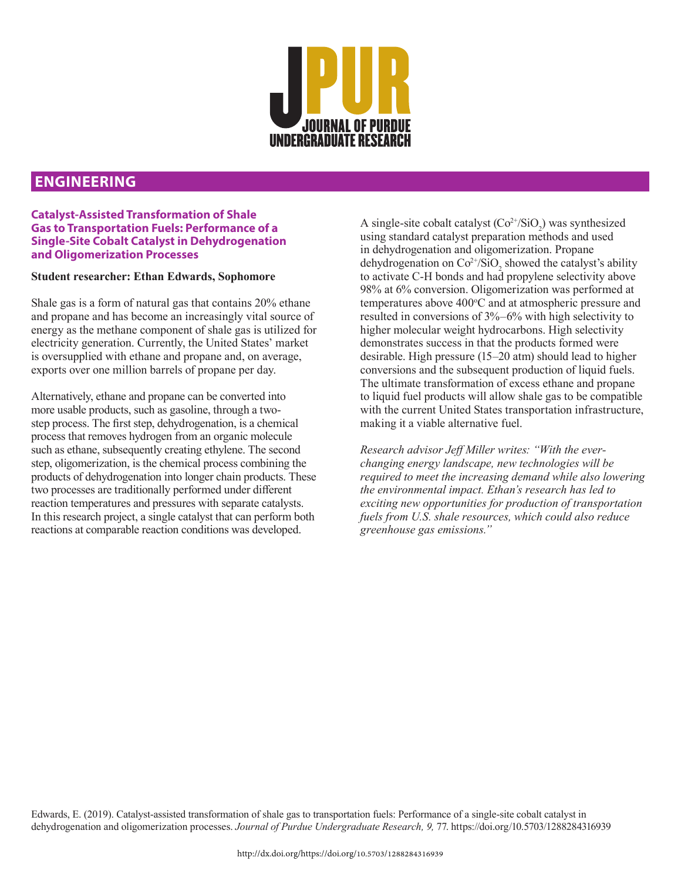

## **ENGINEERING**

## **Catalyst-Assisted Transformation of Shale Gas to Transportation Fuels: Performance of a Single-Site Cobalt Catalyst in Dehydrogenation and Oligomerization Processes**

## **Student researcher: Ethan Edwards, Sophomore**

Shale gas is a form of natural gas that contains 20% ethane and propane and has become an increasingly vital source of energy as the methane component of shale gas is utilized for electricity generation. Currently, the United States' market is oversupplied with ethane and propane and, on average, exports over one million barrels of propane per day.

Alternatively, ethane and propane can be converted into more usable products, such as gasoline, through a twostep process. The first step, dehydrogenation, is a chemical process that removes hydrogen from an organic molecule such as ethane, subsequently creating ethylene. The second step, oligomerization, is the chemical process combining the products of dehydrogenation into longer chain products. These two processes are traditionally performed under different reaction temperatures and pressures with separate catalysts. In this research project, a single catalyst that can perform both reactions at comparable reaction conditions was developed.

A single-site cobalt catalyst  $(Co^{2+}/SiO_2)$  was synthesized using standard catalyst preparation methods and used in dehydrogenation and oligomerization. Propane dehydrogenation on  $Co^{2+}/SiO_2$  showed the catalyst's ability to activate C-H bonds and had propylene selectivity above 98% at 6% conversion. Oligomerization was performed at temperatures above 400°C and at atmospheric pressure and resulted in conversions of 3%–6% with high selectivity to higher molecular weight hydrocarbons. High selectivity demonstrates success in that the products formed were desirable. High pressure (15–20 atm) should lead to higher conversions and the subsequent production of liquid fuels. The ultimate transformation of excess ethane and propane to liquid fuel products will allow shale gas to be compatible with the current United States transportation infrastructure, making it a viable alternative fuel.

*Research advisor Jeff Miller writes: "With the everchanging energy landscape, new technologies will be required to meet the increasing demand while also lowering the environmental impact. Ethan's research has led to exciting new opportunities for production of transportation fuels from U.S. shale resources, which could also reduce greenhouse gas emissions."* 

Edwards, E. (2019). Catalyst-assisted transformation of shale gas to transportation fuels: Performance of a single-site cobalt catalyst in dehydrogenation and oligomerization processes. *Journal of Purdue Undergraduate Research, 9,* 77. https://doi.org/10.5703/1288284316939